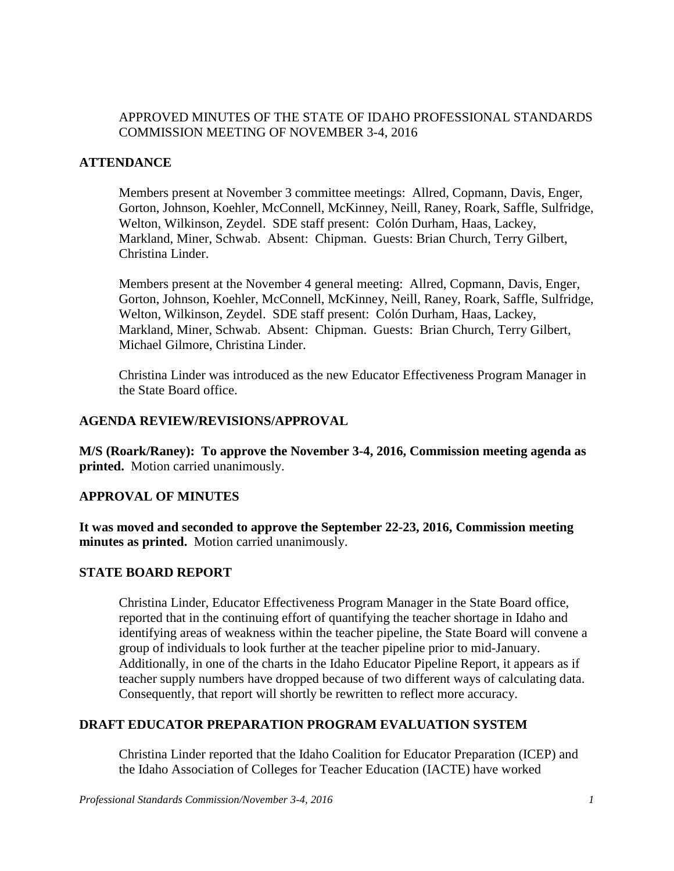## APPROVED MINUTES OF THE STATE OF IDAHO PROFESSIONAL STANDARDS COMMISSION MEETING OF NOVEMBER 3-4, 2016

## **ATTENDANCE**

Members present at November 3 committee meetings: Allred, Copmann, Davis, Enger, Gorton, Johnson, Koehler, McConnell, McKinney, Neill, Raney, Roark, Saffle, Sulfridge, Welton, Wilkinson, Zeydel. SDE staff present: Colón Durham, Haas, Lackey, Markland, Miner, Schwab. Absent: Chipman. Guests: Brian Church, Terry Gilbert, Christina Linder.

Members present at the November 4 general meeting: Allred, Copmann, Davis, Enger, Gorton, Johnson, Koehler, McConnell, McKinney, Neill, Raney, Roark, Saffle, Sulfridge, Welton, Wilkinson, Zeydel. SDE staff present: Colón Durham, Haas, Lackey, Markland, Miner, Schwab. Absent: Chipman. Guests: Brian Church, Terry Gilbert, Michael Gilmore, Christina Linder.

Christina Linder was introduced as the new Educator Effectiveness Program Manager in the State Board office.

### **AGENDA REVIEW/REVISIONS/APPROVAL**

**M/S (Roark/Raney): To approve the November 3-4, 2016, Commission meeting agenda as printed.** Motion carried unanimously.

## **APPROVAL OF MINUTES**

**It was moved and seconded to approve the September 22-23, 2016, Commission meeting minutes as printed.** Motion carried unanimously.

## **STATE BOARD REPORT**

Christina Linder, Educator Effectiveness Program Manager in the State Board office, reported that in the continuing effort of quantifying the teacher shortage in Idaho and identifying areas of weakness within the teacher pipeline, the State Board will convene a group of individuals to look further at the teacher pipeline prior to mid-January. Additionally, in one of the charts in the Idaho Educator Pipeline Report, it appears as if teacher supply numbers have dropped because of two different ways of calculating data. Consequently, that report will shortly be rewritten to reflect more accuracy.

## **DRAFT EDUCATOR PREPARATION PROGRAM EVALUATION SYSTEM**

Christina Linder reported that the Idaho Coalition for Educator Preparation (ICEP) and the Idaho Association of Colleges for Teacher Education (IACTE) have worked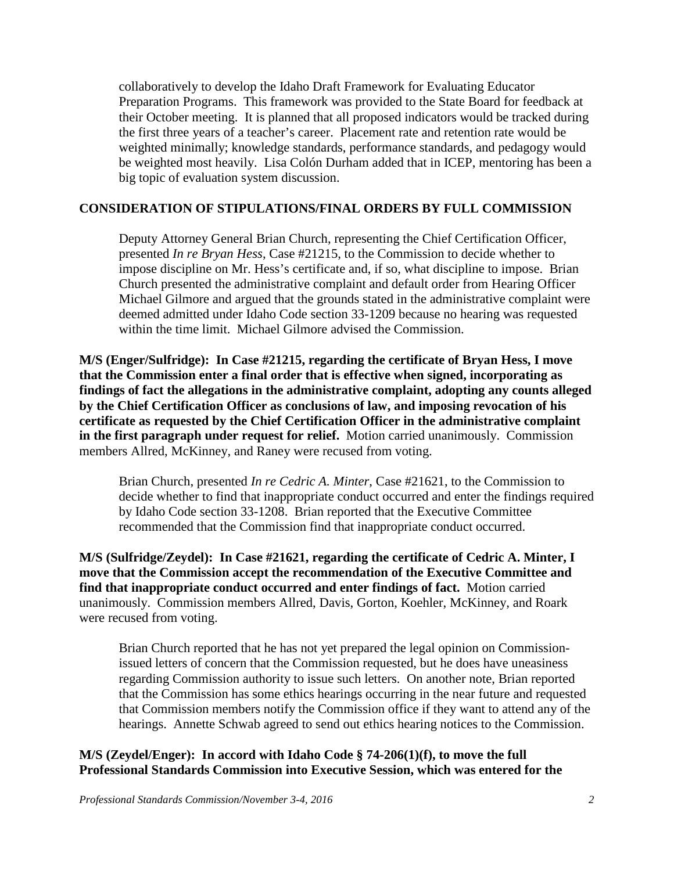collaboratively to develop the Idaho Draft Framework for Evaluating Educator Preparation Programs. This framework was provided to the State Board for feedback at their October meeting. It is planned that all proposed indicators would be tracked during the first three years of a teacher's career. Placement rate and retention rate would be weighted minimally; knowledge standards, performance standards, and pedagogy would be weighted most heavily. Lisa Colón Durham added that in ICEP, mentoring has been a big topic of evaluation system discussion.

#### **CONSIDERATION OF STIPULATIONS/FINAL ORDERS BY FULL COMMISSION**

Deputy Attorney General Brian Church, representing the Chief Certification Officer, presented *In re Bryan Hess*, Case #21215, to the Commission to decide whether to impose discipline on Mr. Hess's certificate and, if so, what discipline to impose. Brian Church presented the administrative complaint and default order from Hearing Officer Michael Gilmore and argued that the grounds stated in the administrative complaint were deemed admitted under Idaho Code section 33-1209 because no hearing was requested within the time limit. Michael Gilmore advised the Commission.

**M/S (Enger/Sulfridge): In Case #21215, regarding the certificate of Bryan Hess, I move that the Commission enter a final order that is effective when signed, incorporating as findings of fact the allegations in the administrative complaint, adopting any counts alleged by the Chief Certification Officer as conclusions of law, and imposing revocation of his certificate as requested by the Chief Certification Officer in the administrative complaint in the first paragraph under request for relief.** Motion carried unanimously. Commission members Allred, McKinney, and Raney were recused from voting.

Brian Church, presented *In re Cedric A. Minter*, Case #21621, to the Commission to decide whether to find that inappropriate conduct occurred and enter the findings required by Idaho Code section 33-1208. Brian reported that the Executive Committee recommended that the Commission find that inappropriate conduct occurred.

**M/S (Sulfridge/Zeydel): In Case #21621, regarding the certificate of Cedric A. Minter, I move that the Commission accept the recommendation of the Executive Committee and find that inappropriate conduct occurred and enter findings of fact.** Motion carried unanimously. Commission members Allred, Davis, Gorton, Koehler, McKinney, and Roark were recused from voting.

Brian Church reported that he has not yet prepared the legal opinion on Commissionissued letters of concern that the Commission requested, but he does have uneasiness regarding Commission authority to issue such letters. On another note, Brian reported that the Commission has some ethics hearings occurring in the near future and requested that Commission members notify the Commission office if they want to attend any of the hearings. Annette Schwab agreed to send out ethics hearing notices to the Commission.

## **M/S (Zeydel/Enger): In accord with Idaho Code § 74-206(1)(f), to move the full Professional Standards Commission into Executive Session, which was entered for the**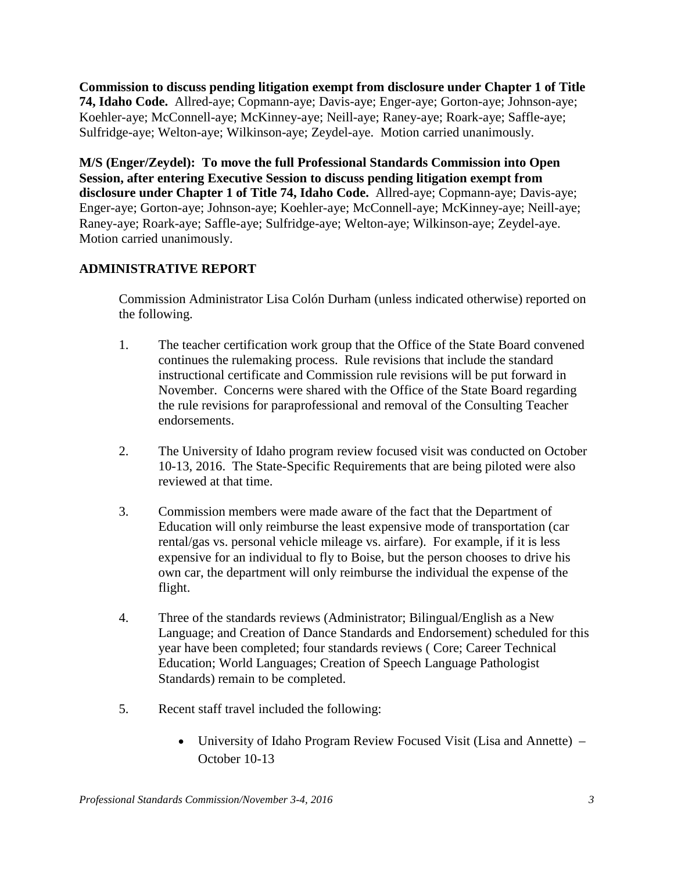**Commission to discuss pending litigation exempt from disclosure under Chapter 1 of Title 74, Idaho Code.** Allred-aye; Copmann-aye; Davis-aye; Enger-aye; Gorton-aye; Johnson-aye; Koehler-aye; McConnell-aye; McKinney-aye; Neill-aye; Raney-aye; Roark-aye; Saffle-aye; Sulfridge-aye; Welton-aye; Wilkinson-aye; Zeydel-aye. Motion carried unanimously.

**M/S (Enger/Zeydel): To move the full Professional Standards Commission into Open Session, after entering Executive Session to discuss pending litigation exempt from disclosure under Chapter 1 of Title 74, Idaho Code.** Allred-aye; Copmann-aye; Davis-aye; Enger-aye; Gorton-aye; Johnson-aye; Koehler-aye; McConnell-aye; McKinney-aye; Neill-aye; Raney-aye; Roark-aye; Saffle-aye; Sulfridge-aye; Welton-aye; Wilkinson-aye; Zeydel-aye. Motion carried unanimously.

# **ADMINISTRATIVE REPORT**

Commission Administrator Lisa Colón Durham (unless indicated otherwise) reported on the following.

- 1. The teacher certification work group that the Office of the State Board convened continues the rulemaking process. Rule revisions that include the standard instructional certificate and Commission rule revisions will be put forward in November. Concerns were shared with the Office of the State Board regarding the rule revisions for paraprofessional and removal of the Consulting Teacher endorsements.
- 2. The University of Idaho program review focused visit was conducted on October 10-13, 2016. The State-Specific Requirements that are being piloted were also reviewed at that time.
- 3. Commission members were made aware of the fact that the Department of Education will only reimburse the least expensive mode of transportation (car rental/gas vs. personal vehicle mileage vs. airfare). For example, if it is less expensive for an individual to fly to Boise, but the person chooses to drive his own car, the department will only reimburse the individual the expense of the flight.
- 4. Three of the standards reviews (Administrator; Bilingual/English as a New Language; and Creation of Dance Standards and Endorsement) scheduled for this year have been completed; four standards reviews ( Core; Career Technical Education; World Languages; Creation of Speech Language Pathologist Standards) remain to be completed.
- 5. Recent staff travel included the following:
	- University of Idaho Program Review Focused Visit (Lisa and Annette) October 10-13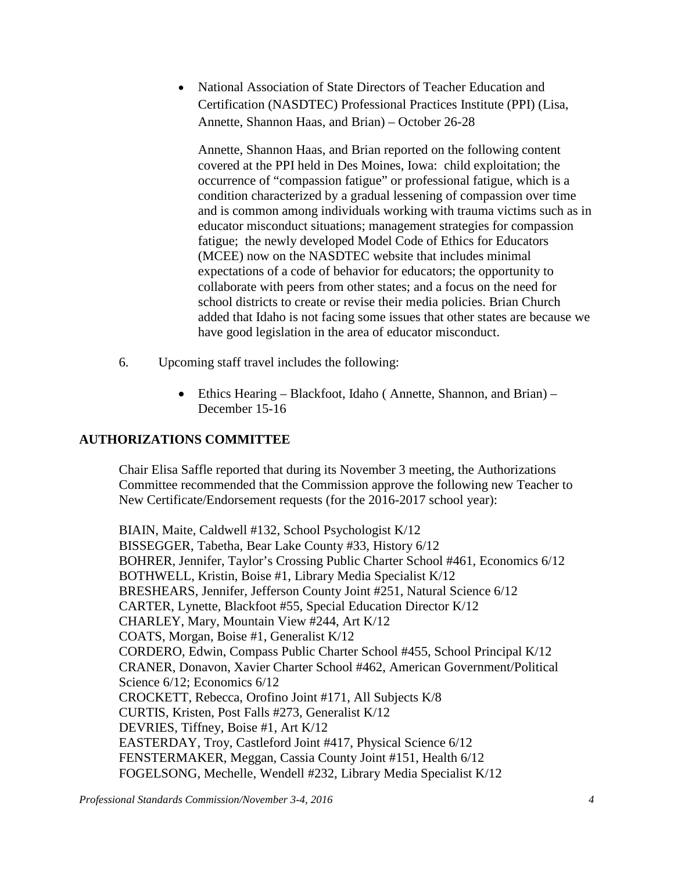• National Association of State Directors of Teacher Education and Certification (NASDTEC) Professional Practices Institute (PPI) (Lisa, Annette, Shannon Haas, and Brian) – October 26-28

Annette, Shannon Haas, and Brian reported on the following content covered at the PPI held in Des Moines, Iowa: child exploitation; the occurrence of "compassion fatigue" or professional fatigue, which is a condition characterized by a gradual lessening of compassion over time and is common among individuals working with trauma victims such as in educator misconduct situations; management strategies for compassion fatigue; the newly developed Model Code of Ethics for Educators (MCEE) now on the NASDTEC website that includes minimal expectations of a code of behavior for educators; the opportunity to collaborate with peers from other states; and a focus on the need for school districts to create or revise their media policies. Brian Church added that Idaho is not facing some issues that other states are because we have good legislation in the area of educator misconduct.

- 6. Upcoming staff travel includes the following:
	- Ethics Hearing Blackfoot, Idaho (Annette, Shannon, and Brian) December 15-16

# **AUTHORIZATIONS COMMITTEE**

Chair Elisa Saffle reported that during its November 3 meeting, the Authorizations Committee recommended that the Commission approve the following new Teacher to New Certificate/Endorsement requests (for the 2016-2017 school year):

BIAIN, Maite, Caldwell #132, School Psychologist K/12 BISSEGGER, Tabetha, Bear Lake County #33, History 6/12 BOHRER, Jennifer, Taylor's Crossing Public Charter School #461, Economics 6/12 BOTHWELL, Kristin, Boise #1, Library Media Specialist K/12 BRESHEARS, Jennifer, Jefferson County Joint #251, Natural Science 6/12 CARTER, Lynette, Blackfoot #55, Special Education Director K/12 CHARLEY, Mary, Mountain View #244, Art K/12 COATS, Morgan, Boise #1, Generalist K/12 CORDERO, Edwin, Compass Public Charter School #455, School Principal K/12 CRANER, Donavon, Xavier Charter School #462, American Government/Political Science 6/12; Economics 6/12 CROCKETT, Rebecca, Orofino Joint #171, All Subjects K/8 CURTIS, Kristen, Post Falls #273, Generalist K/12 DEVRIES, Tiffney, Boise #1, Art K/12 EASTERDAY, Troy, Castleford Joint #417, Physical Science 6/12 FENSTERMAKER, Meggan, Cassia County Joint #151, Health 6/12 FOGELSONG, Mechelle, Wendell #232, Library Media Specialist K/12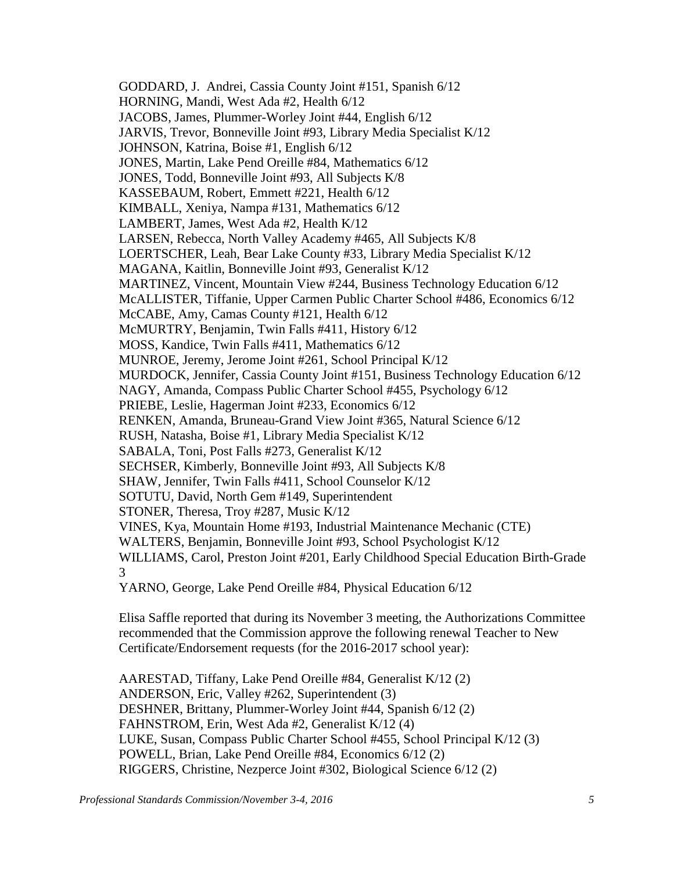GODDARD, J. Andrei, Cassia County Joint #151, Spanish 6/12 HORNING, Mandi, West Ada #2, Health 6/12 JACOBS, James, Plummer-Worley Joint #44, English 6/12 JARVIS, Trevor, Bonneville Joint #93, Library Media Specialist K/12 JOHNSON, Katrina, Boise #1, English 6/12 JONES, Martin, Lake Pend Oreille #84, Mathematics 6/12 JONES, Todd, Bonneville Joint #93, All Subjects K/8 KASSEBAUM, Robert, Emmett #221, Health 6/12 KIMBALL, Xeniya, Nampa #131, Mathematics 6/12 LAMBERT, James, West Ada #2, Health K/12 LARSEN, Rebecca, North Valley Academy #465, All Subjects K/8 LOERTSCHER, Leah, Bear Lake County #33, Library Media Specialist K/12 MAGANA, Kaitlin, Bonneville Joint #93, Generalist K/12 MARTINEZ, Vincent, Mountain View #244, Business Technology Education 6/12 McALLISTER, Tiffanie, Upper Carmen Public Charter School #486, Economics 6/12 McCABE, Amy, Camas County #121, Health 6/12 McMURTRY, Benjamin, Twin Falls #411, History 6/12 MOSS, Kandice, Twin Falls #411, Mathematics 6/12 MUNROE, Jeremy, Jerome Joint #261, School Principal K/12 MURDOCK, Jennifer, Cassia County Joint #151, Business Technology Education 6/12 NAGY, Amanda, Compass Public Charter School #455, Psychology 6/12 PRIEBE, Leslie, Hagerman Joint #233, Economics 6/12 RENKEN, Amanda, Bruneau-Grand View Joint #365, Natural Science 6/12 RUSH, Natasha, Boise #1, Library Media Specialist K/12 SABALA, Toni, Post Falls #273, Generalist K/12 SECHSER, Kimberly, Bonneville Joint #93, All Subjects K/8 SHAW, Jennifer, Twin Falls #411, School Counselor K/12 SOTUTU, David, North Gem #149, Superintendent STONER, Theresa, Troy #287, Music K/12 VINES, Kya, Mountain Home #193, Industrial Maintenance Mechanic (CTE) WALTERS, Benjamin, Bonneville Joint #93, School Psychologist K/12 WILLIAMS, Carol, Preston Joint #201, Early Childhood Special Education Birth-Grade 3 YARNO, George, Lake Pend Oreille #84, Physical Education 6/12

Elisa Saffle reported that during its November 3 meeting, the Authorizations Committee recommended that the Commission approve the following renewal Teacher to New Certificate/Endorsement requests (for the 2016-2017 school year):

AARESTAD, Tiffany, Lake Pend Oreille #84, Generalist K/12 (2) ANDERSON, Eric, Valley #262, Superintendent (3) DESHNER, Brittany, Plummer-Worley Joint #44, Spanish 6/12 (2) FAHNSTROM, Erin, West Ada #2, Generalist K/12 (4) LUKE, Susan, Compass Public Charter School #455, School Principal K/12 (3) POWELL, Brian, Lake Pend Oreille #84, Economics 6/12 (2) RIGGERS, Christine, Nezperce Joint #302, Biological Science 6/12 (2)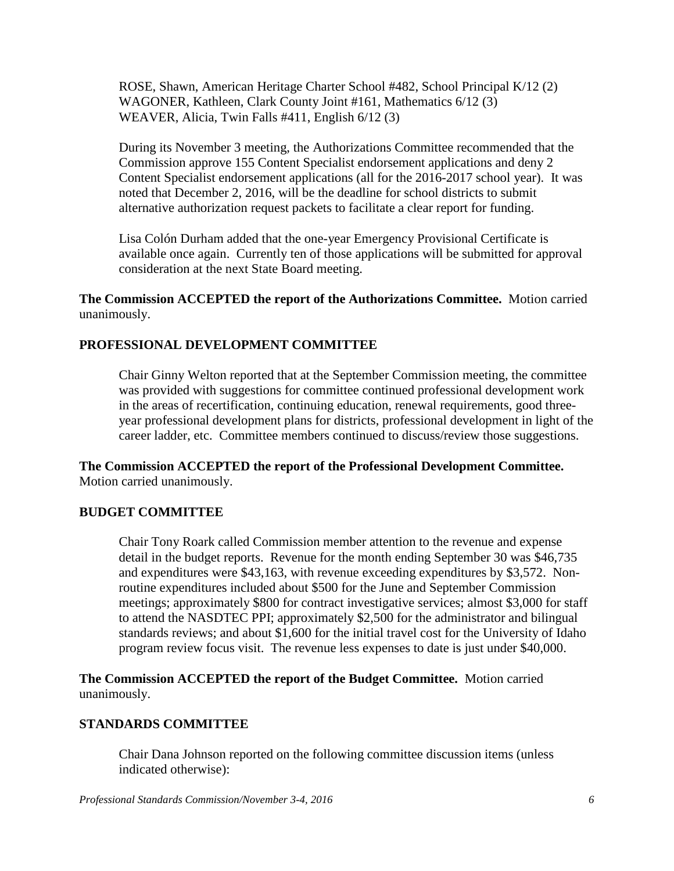ROSE, Shawn, American Heritage Charter School #482, School Principal K/12 (2) WAGONER, Kathleen, Clark County Joint #161, Mathematics 6/12 (3) WEAVER, Alicia, Twin Falls #411, English 6/12 (3)

During its November 3 meeting, the Authorizations Committee recommended that the Commission approve 155 Content Specialist endorsement applications and deny 2 Content Specialist endorsement applications (all for the 2016-2017 school year). It was noted that December 2, 2016, will be the deadline for school districts to submit alternative authorization request packets to facilitate a clear report for funding.

Lisa Colón Durham added that the one-year Emergency Provisional Certificate is available once again. Currently ten of those applications will be submitted for approval consideration at the next State Board meeting.

**The Commission ACCEPTED the report of the Authorizations Committee.** Motion carried unanimously.

## **PROFESSIONAL DEVELOPMENT COMMITTEE**

Chair Ginny Welton reported that at the September Commission meeting, the committee was provided with suggestions for committee continued professional development work in the areas of recertification, continuing education, renewal requirements, good threeyear professional development plans for districts, professional development in light of the career ladder, etc. Committee members continued to discuss/review those suggestions.

**The Commission ACCEPTED the report of the Professional Development Committee.**  Motion carried unanimously.

## **BUDGET COMMITTEE**

Chair Tony Roark called Commission member attention to the revenue and expense detail in the budget reports. Revenue for the month ending September 30 was \$46,735 and expenditures were \$43,163, with revenue exceeding expenditures by \$3,572. Nonroutine expenditures included about \$500 for the June and September Commission meetings; approximately \$800 for contract investigative services; almost \$3,000 for staff to attend the NASDTEC PPI; approximately \$2,500 for the administrator and bilingual standards reviews; and about \$1,600 for the initial travel cost for the University of Idaho program review focus visit. The revenue less expenses to date is just under \$40,000.

**The Commission ACCEPTED the report of the Budget Committee.** Motion carried unanimously.

## **STANDARDS COMMITTEE**

Chair Dana Johnson reported on the following committee discussion items (unless indicated otherwise):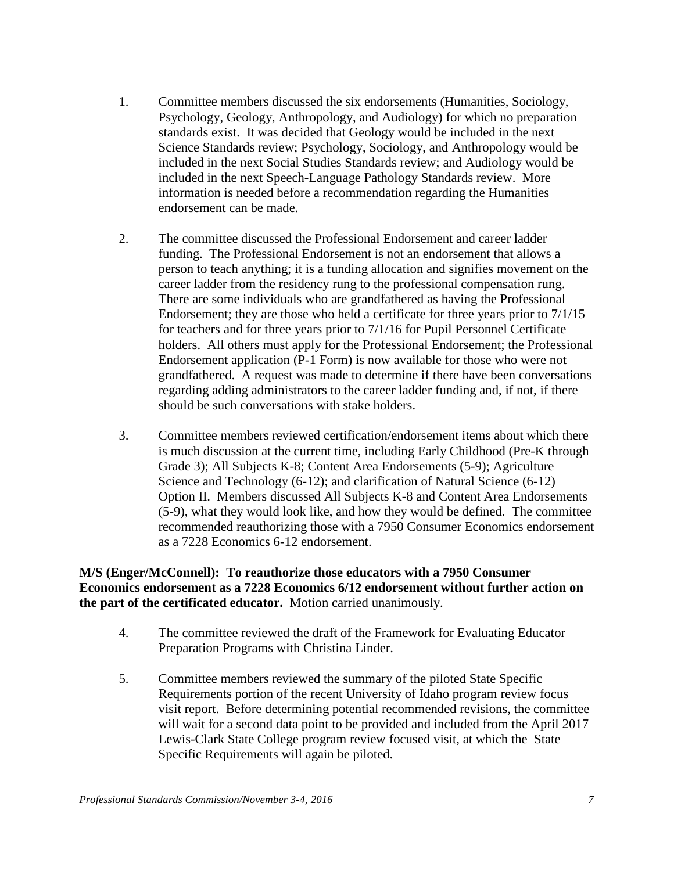- 1. Committee members discussed the six endorsements (Humanities, Sociology, Psychology, Geology, Anthropology, and Audiology) for which no preparation standards exist. It was decided that Geology would be included in the next Science Standards review; Psychology, Sociology, and Anthropology would be included in the next Social Studies Standards review; and Audiology would be included in the next Speech-Language Pathology Standards review. More information is needed before a recommendation regarding the Humanities endorsement can be made.
- 2. The committee discussed the Professional Endorsement and career ladder funding. The Professional Endorsement is not an endorsement that allows a person to teach anything; it is a funding allocation and signifies movement on the career ladder from the residency rung to the professional compensation rung. There are some individuals who are grandfathered as having the Professional Endorsement; they are those who held a certificate for three years prior to 7/1/15 for teachers and for three years prior to 7/1/16 for Pupil Personnel Certificate holders. All others must apply for the Professional Endorsement; the Professional Endorsement application (P-1 Form) is now available for those who were not grandfathered. A request was made to determine if there have been conversations regarding adding administrators to the career ladder funding and, if not, if there should be such conversations with stake holders.
- 3. Committee members reviewed certification/endorsement items about which there is much discussion at the current time, including Early Childhood (Pre-K through Grade 3); All Subjects K-8; Content Area Endorsements (5-9); Agriculture Science and Technology (6-12); and clarification of Natural Science (6-12) Option II. Members discussed All Subjects K-8 and Content Area Endorsements (5-9), what they would look like, and how they would be defined. The committee recommended reauthorizing those with a 7950 Consumer Economics endorsement as a 7228 Economics 6-12 endorsement.

### **M/S (Enger/McConnell): To reauthorize those educators with a 7950 Consumer Economics endorsement as a 7228 Economics 6/12 endorsement without further action on the part of the certificated educator.** Motion carried unanimously.

- 4. The committee reviewed the draft of the Framework for Evaluating Educator Preparation Programs with Christina Linder.
- 5. Committee members reviewed the summary of the piloted State Specific Requirements portion of the recent University of Idaho program review focus visit report. Before determining potential recommended revisions, the committee will wait for a second data point to be provided and included from the April 2017 Lewis-Clark State College program review focused visit, at which the State Specific Requirements will again be piloted.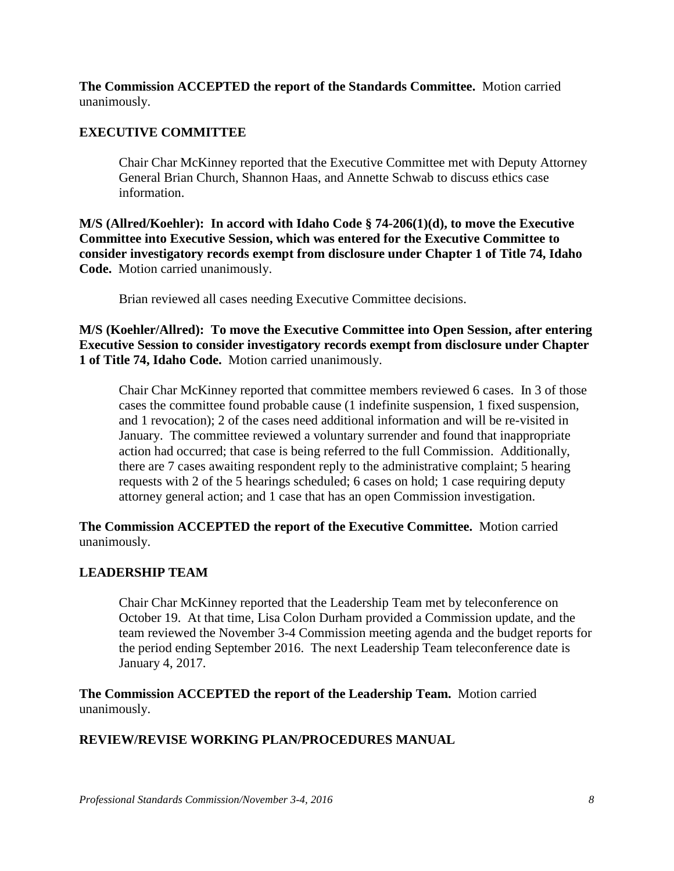**The Commission ACCEPTED the report of the Standards Committee.** Motion carried unanimously.

## **EXECUTIVE COMMITTEE**

Chair Char McKinney reported that the Executive Committee met with Deputy Attorney General Brian Church, Shannon Haas, and Annette Schwab to discuss ethics case information.

**M/S (Allred/Koehler): In accord with Idaho Code § 74-206(1)(d), to move the Executive Committee into Executive Session, which was entered for the Executive Committee to consider investigatory records exempt from disclosure under Chapter 1 of Title 74, Idaho Code.** Motion carried unanimously.

Brian reviewed all cases needing Executive Committee decisions.

**M/S (Koehler/Allred): To move the Executive Committee into Open Session, after entering Executive Session to consider investigatory records exempt from disclosure under Chapter 1 of Title 74, Idaho Code.** Motion carried unanimously.

Chair Char McKinney reported that committee members reviewed 6 cases. In 3 of those cases the committee found probable cause (1 indefinite suspension, 1 fixed suspension, and 1 revocation); 2 of the cases need additional information and will be re-visited in January. The committee reviewed a voluntary surrender and found that inappropriate action had occurred; that case is being referred to the full Commission. Additionally, there are 7 cases awaiting respondent reply to the administrative complaint; 5 hearing requests with 2 of the 5 hearings scheduled; 6 cases on hold; 1 case requiring deputy attorney general action; and 1 case that has an open Commission investigation.

**The Commission ACCEPTED the report of the Executive Committee.** Motion carried unanimously.

## **LEADERSHIP TEAM**

Chair Char McKinney reported that the Leadership Team met by teleconference on October 19. At that time, Lisa Colon Durham provided a Commission update, and the team reviewed the November 3-4 Commission meeting agenda and the budget reports for the period ending September 2016. The next Leadership Team teleconference date is January 4, 2017.

**The Commission ACCEPTED the report of the Leadership Team.** Motion carried unanimously.

## **REVIEW/REVISE WORKING PLAN/PROCEDURES MANUAL**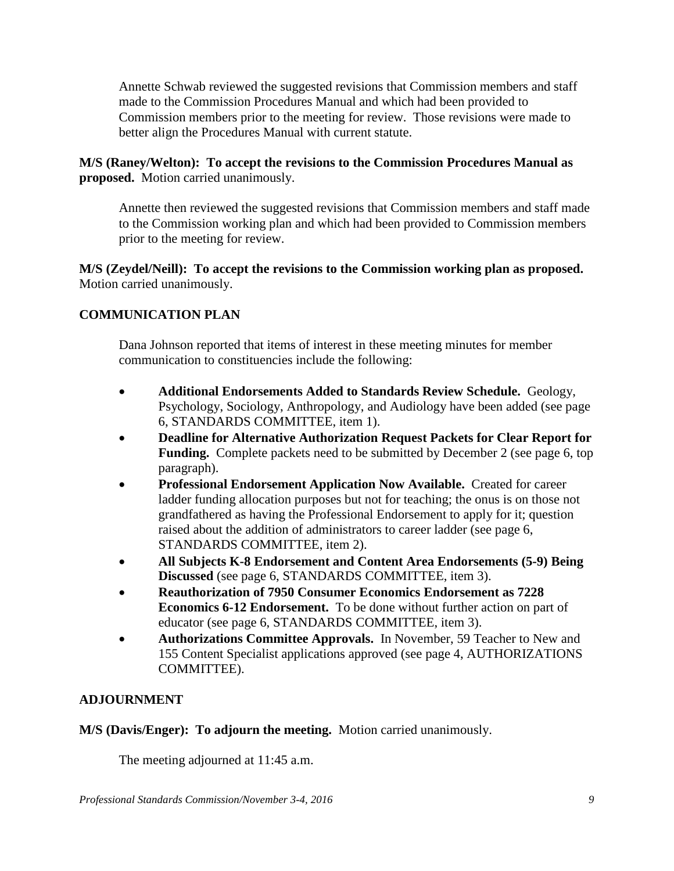Annette Schwab reviewed the suggested revisions that Commission members and staff made to the Commission Procedures Manual and which had been provided to Commission members prior to the meeting for review. Those revisions were made to better align the Procedures Manual with current statute.

## **M/S (Raney/Welton): To accept the revisions to the Commission Procedures Manual as proposed.** Motion carried unanimously.

Annette then reviewed the suggested revisions that Commission members and staff made to the Commission working plan and which had been provided to Commission members prior to the meeting for review.

**M/S (Zeydel/Neill): To accept the revisions to the Commission working plan as proposed.**  Motion carried unanimously.

# **COMMUNICATION PLAN**

Dana Johnson reported that items of interest in these meeting minutes for member communication to constituencies include the following:

- **Additional Endorsements Added to Standards Review Schedule.** Geology, Psychology, Sociology, Anthropology, and Audiology have been added (see page 6, STANDARDS COMMITTEE, item 1).
- **Deadline for Alternative Authorization Request Packets for Clear Report for Funding.** Complete packets need to be submitted by December 2 (see page 6, top paragraph).
- **Professional Endorsement Application Now Available.** Created for career ladder funding allocation purposes but not for teaching; the onus is on those not grandfathered as having the Professional Endorsement to apply for it; question raised about the addition of administrators to career ladder (see page 6, STANDARDS COMMITTEE, item 2).
- **All Subjects K-8 Endorsement and Content Area Endorsements (5-9) Being Discussed** (see page 6, STANDARDS COMMITTEE, item 3).
- **Reauthorization of 7950 Consumer Economics Endorsement as 7228 Economics 6-12 Endorsement.** To be done without further action on part of educator (see page 6, STANDARDS COMMITTEE, item 3).
- **Authorizations Committee Approvals.** In November, 59 Teacher to New and 155 Content Specialist applications approved (see page 4, AUTHORIZATIONS COMMITTEE).

# **ADJOURNMENT**

**M/S (Davis/Enger): To adjourn the meeting.** Motion carried unanimously.

The meeting adjourned at 11:45 a.m.